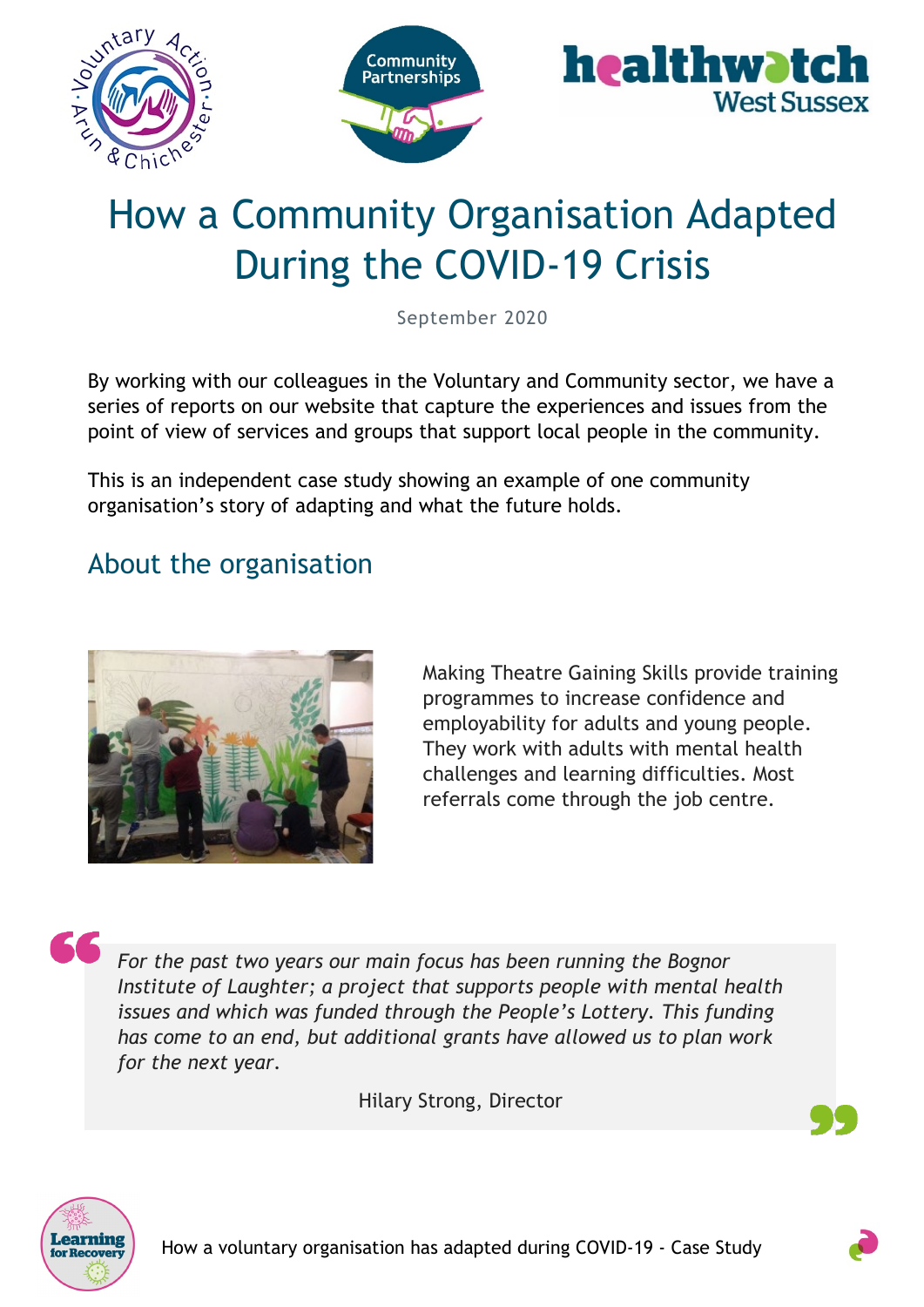

# How a Community Organisation Adapted During the COVID-19 Crisis

September 2020

By working with our colleagues in the Voluntary and Community sector, we have a series of reports on our website that capture the experiences and issues from the point of view of services and groups that support local people in the community.

This is an independent case study showing an example of one community organisation's story of adapting and what the future holds.

### About the organisation



Making Theatre Gaining Skills provide training programmes to increase confidence and employability for adults and young people. They work with adults with mental health challenges and learning difficulties. Most referrals come through the job centre.

*For the past two years our main focus has been running the Bognor Institute of Laughter; a project that supports people with mental health issues and which was funded through the People's Lottery. This funding has come to an end, but additional grants have allowed us to plan work for the next year.*

Hilary Strong, Director



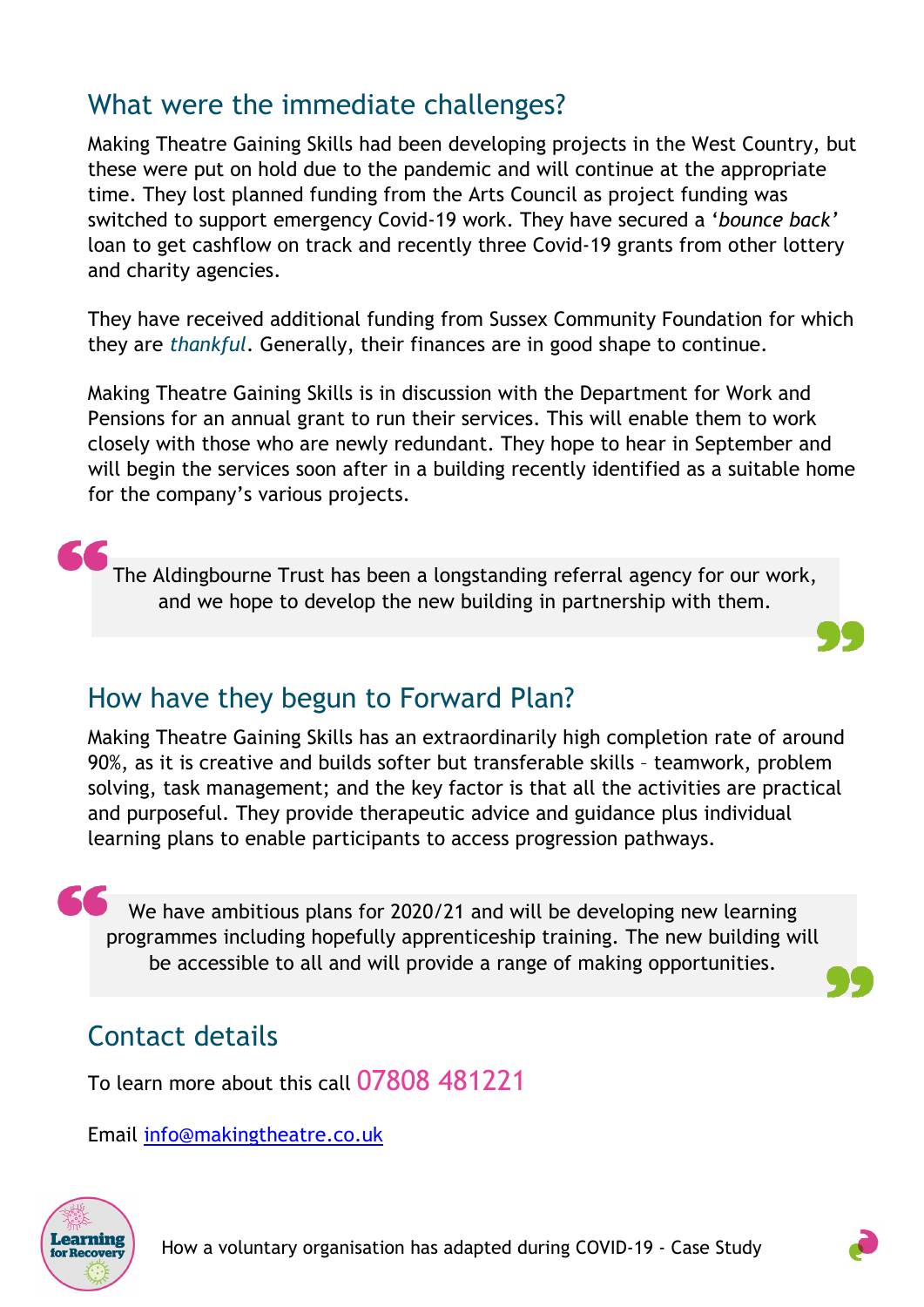### What were the immediate challenges?

Making Theatre Gaining Skills had been developing projects in the West Country, but these were put on hold due to the pandemic and will continue at the appropriate time. They lost planned funding from the Arts Council as project funding was switched to support emergency Covid-19 work. They have secured a '*bounce back'* loan to get cashflow on track and recently three Covid-19 grants from other lottery and charity agencies.

They have received additional funding from Sussex Community Foundation for which they are *thankful*. Generally, their finances are in good shape to continue.

Making Theatre Gaining Skills is in discussion with the Department for Work and Pensions for an annual grant to run their services. This will enable them to work closely with those who are newly redundant. They hope to hear in September and will begin the services soon after in a building recently identified as a suitable home for the company's various projects.

The Aldingbourne Trust has been a longstanding referral agency for our work, and we hope to develop the new building in partnership with them.

#### How have they begun to Forward Plan?

Making Theatre Gaining Skills has an extraordinarily high completion rate of around 90%, as it is creative and builds softer but transferable skills – teamwork, problem solving, task management; and the key factor is that all the activities are practical and purposeful. They provide therapeutic advice and guidance plus individual learning plans to enable participants to access progression pathways.

66 We have ambitious plans for 2020/21 and will be developing new learning programmes including hopefully apprenticeship training. The new building will be accessible to all and will provide a range of making opportunities.

#### Contact details

To learn more about this call 07808 481221

Email [info@makingtheatre.co.uk](mailto:info@makingtheatre.co.uk)